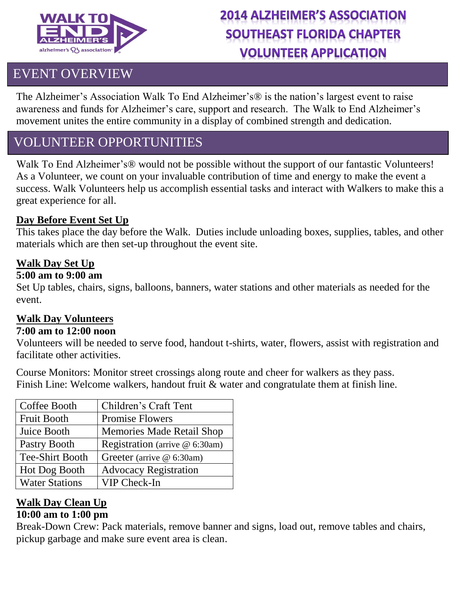

# **2014 ALZHEIMER'S ASSOCIATION SOUTHEAST FLORIDA CHAPTER VOLUNTEER APPLICATION**

## EVENT OVERVIEW

The Alzheimer's Association Walk To End Alzheimer's® is the nation's largest event to raise awareness and funds for Alzheimer's care, support and research. The Walk to End Alzheimer's movement unites the entire community in a display of combined strength and dedication.

## VOLUNTEER OPPORTUNITIES

Walk To End Alzheimer's® would not be possible without the support of our fantastic Volunteers! As a Volunteer, we count on your invaluable contribution of time and energy to make the event a success. Walk Volunteers help us accomplish essential tasks and interact with Walkers to make this a great experience for all.

#### **Day Before Event Set Up**

This takes place the day before the Walk. Duties include unloading boxes, supplies, tables, and other materials which are then set-up throughout the event site.

#### **Walk Day Set Up**

#### **5:00 am to 9:00 am**

Set Up tables, chairs, signs, balloons, banners, water stations and other materials as needed for the event.

#### **Walk Day Volunteers**

#### **7:00 am to 12:00 noon**

Volunteers will be needed to serve food, handout t-shirts, water, flowers, assist with registration and facilitate other activities.

Course Monitors: Monitor street crossings along route and cheer for walkers as they pass. Finish Line: Welcome walkers, handout fruit & water and congratulate them at finish line.

| Coffee Booth           | Children's Craft Tent            |
|------------------------|----------------------------------|
| <b>Fruit Booth</b>     | <b>Promise Flowers</b>           |
| Juice Booth            | <b>Memories Made Retail Shop</b> |
| Pastry Booth           | Registration (arrive @ 6:30am)   |
| <b>Tee-Shirt Booth</b> | Greeter (arrive @ 6:30am)        |
| Hot Dog Booth          | <b>Advocacy Registration</b>     |
| <b>Water Stations</b>  | VIP Check-In                     |

## **Walk Day Clean Up**

### **10:00 am to 1:00 pm**

Break-Down Crew: Pack materials, remove banner and signs, load out, remove tables and chairs, pickup garbage and make sure event area is clean.